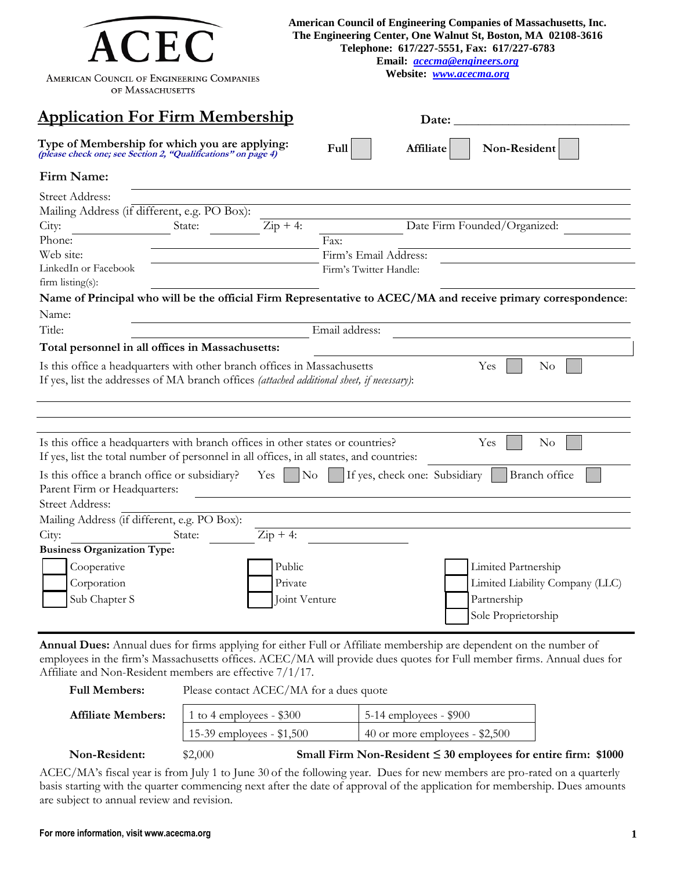| <b>ACEC</b><br>AMERICAN COUNCIL OF ENGINEERING COMPANIES<br>OF MASSACHUSETTS                                                                                                                                                 |                                                   | American Council of Engineering Companies of Massachusetts, Inc.<br>The Engineering Center, One Walnut St, Boston, MA 02108-3616<br>Telephone: 617/227-5551, Fax: 617/227-6783<br>Email: <i>acecma@engineers.org</i><br>Website: www.acecma.org |  |
|------------------------------------------------------------------------------------------------------------------------------------------------------------------------------------------------------------------------------|---------------------------------------------------|-------------------------------------------------------------------------------------------------------------------------------------------------------------------------------------------------------------------------------------------------|--|
| <b>Application For Firm Membership</b>                                                                                                                                                                                       |                                                   | Date:                                                                                                                                                                                                                                           |  |
| Type of Membership for which you are applying:<br>(please check one; see Section 2, "Qualifications" on page 4)                                                                                                              | Full                                              | Non-Resident<br>Affiliate                                                                                                                                                                                                                       |  |
| Firm Name:                                                                                                                                                                                                                   |                                                   |                                                                                                                                                                                                                                                 |  |
| Street Address:<br>Mailing Address (if different, e.g. PO Box):                                                                                                                                                              |                                                   |                                                                                                                                                                                                                                                 |  |
| City:<br>State:<br>Phone:                                                                                                                                                                                                    | $\overline{\mathrm{Zip}} + \overline{4:}$<br>Fax: | Date Firm Founded/Organized:                                                                                                                                                                                                                    |  |
| Web site:                                                                                                                                                                                                                    | Firm's Email Address:                             |                                                                                                                                                                                                                                                 |  |
| LinkedIn or Facebook<br>$firm$ listing $(s)$ :                                                                                                                                                                               | Firm's Twitter Handle:                            |                                                                                                                                                                                                                                                 |  |
|                                                                                                                                                                                                                              |                                                   | Name of Principal who will be the official Firm Representative to ACEC/MA and receive primary correspondence:                                                                                                                                   |  |
| Name:                                                                                                                                                                                                                        |                                                   |                                                                                                                                                                                                                                                 |  |
| Title:                                                                                                                                                                                                                       | Email address:                                    |                                                                                                                                                                                                                                                 |  |
| Total personnel in all offices in Massachusetts:                                                                                                                                                                             |                                                   |                                                                                                                                                                                                                                                 |  |
| Is this office a headquarters with other branch offices in Massachusetts<br>If yes, list the addresses of MA branch offices (attached additional sheet, if necessary):                                                       |                                                   | Yes<br>$\rm No$                                                                                                                                                                                                                                 |  |
| Is this office a headquarters with branch offices in other states or countries?<br>If yes, list the total number of personnel in all offices, in all states, and countries:<br>Is this office a branch office or subsidiary? | $\rm No$<br>Yes.                                  | Yes<br>$\rm No$<br>If yes, check one: Subsidiary<br>Branch office                                                                                                                                                                               |  |
| Parent Firm or Headquarters:                                                                                                                                                                                                 |                                                   |                                                                                                                                                                                                                                                 |  |
| Street Address:                                                                                                                                                                                                              |                                                   |                                                                                                                                                                                                                                                 |  |
| Mailing Address (if different, e.g. PO Box):                                                                                                                                                                                 |                                                   |                                                                                                                                                                                                                                                 |  |
| City:<br>State:<br><b>Business Organization Type:</b>                                                                                                                                                                        | $\text{Zip} + 4$ :                                |                                                                                                                                                                                                                                                 |  |
| Cooperative                                                                                                                                                                                                                  | Public                                            | Limited Partnership                                                                                                                                                                                                                             |  |
| Corporation                                                                                                                                                                                                                  | Private                                           | Limited Liability Company (LLC)                                                                                                                                                                                                                 |  |
| Sub Chapter S                                                                                                                                                                                                                | Joint Venture                                     | Partnership<br>Sole Proprietorship                                                                                                                                                                                                              |  |

**Annual Dues:** Annual dues for firms applying for either Full or Affiliate membership are dependent on the number of employees in the firm's Massachusetts offices. ACEC/MA will provide dues quotes for Full member firms. Annual dues for Affiliate and Non-Resident members are effective 7/1/17.

| <b>Full Members:</b>      | Please contact ACEC/MA for a dues quote |                                                                     |  |  |
|---------------------------|-----------------------------------------|---------------------------------------------------------------------|--|--|
| <b>Affiliate Members:</b> | 1 to 4 employees - $$300$               | $5-14$ employees - \$900                                            |  |  |
|                           | 15-39 employees - $$1,500$              | 40 or more employees $-$ \$2,500                                    |  |  |
| Non-Resident:             | \$2,000                                 | Small Firm Non-Resident $\leq$ 30 employees for entire firm: \$1000 |  |  |

ACEC/MA's fiscal year is from July 1 to June 30 of the following year. Dues for new members are pro-rated on a quarterly basis starting with the quarter commencing next after the date of approval of the application for membership. Dues amounts are subject to annual review and revision.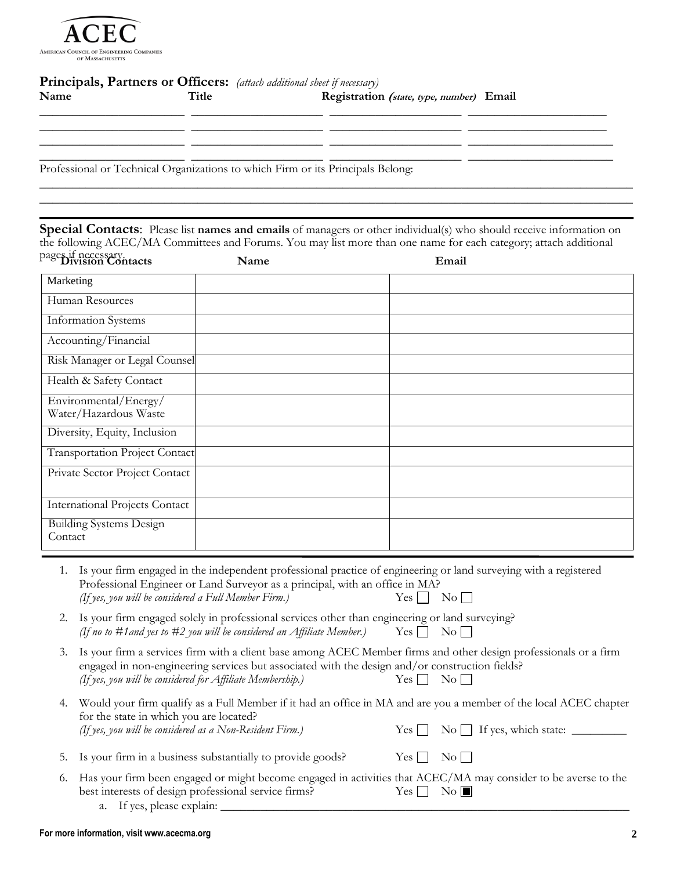

# **Principals, Partners or Officers:** *(attach additional sheet if necessary)*

| Name | Title | Registration (state, type, number) Email                                        |
|------|-------|---------------------------------------------------------------------------------|
|      |       |                                                                                 |
|      |       |                                                                                 |
|      |       | Professional or Technical Organizations to which Firm or its Principals Belong: |

**Special Contacts**: Please list **names and emails** of managers or other individual(s) who should receive information on the following ACEC/MA Committees and Forums. You may list more than one name for each category; attach additional

 $\_$  , and the contribution of the contribution of  $\mathcal{L}$  , and  $\mathcal{L}$  , and  $\mathcal{L}$  , and  $\mathcal{L}$  , and  $\mathcal{L}$  $\_$  , and the contribution of the contribution of  $\mathcal{L}$  , and  $\mathcal{L}$  , and  $\mathcal{L}$  , and  $\mathcal{L}$  , and  $\mathcal{L}$ 

| pages if necessary.<br>Division Contacts       | Name | Email |
|------------------------------------------------|------|-------|
| Marketing                                      |      |       |
| Human Resources                                |      |       |
| Information Systems                            |      |       |
| Accounting/Financial                           |      |       |
| Risk Manager or Legal Counsel                  |      |       |
| Health & Safety Contact                        |      |       |
| Environmental/Energy/<br>Water/Hazardous Waste |      |       |
| Diversity, Equity, Inclusion                   |      |       |
| Transportation Project Contact                 |      |       |
| Private Sector Project Contact                 |      |       |
| <b>International Projects Contact</b>          |      |       |
| <b>Building Systems Design</b><br>Contact      |      |       |

- 1. Is your firm engaged in the independent professional practice of engineering or land surveying with a registered Professional Engineer or Land Surveyor as a principal, with an office in MA? *(If yes, you will be considered a Full Member Firm.)*  $Yes \Box \ No$
- 2. Is your firm engaged solely in professional services other than engineering or land surveying? *(If no to #1 and yes to #2 you will be considered an Affiliate Member.)* Yes  $\Box$  No  $\Box$
- 3. Is your firm a services firm with a client base among ACEC Member firms and other design professionals or a firm engaged in non-engineering services but associated with the design and/or construction fields? *(If yes, you will be considered for Affiliate Membership.)* Yes No
- 4. Would your firm qualify as a Full Member if it had an office in MA and are you a member of the local ACEC chapter for the state in which you are located? *(If yes, you will be considered as a Non-Resident Firm.)* Yes  $\Box$  No  $\Box$  If yes, which state:  $\Box$
- 5. Is your firm in a business substantially to provide goods? Yes  $\Box$  No  $\Box$
- 6. Has your firm been engaged or might become engaged in activities that ACEC/MA may consider to be averse to the best interests of design professional service firms?  $Yes \Box \ No \Box$ 
	- a. If yes, please explain: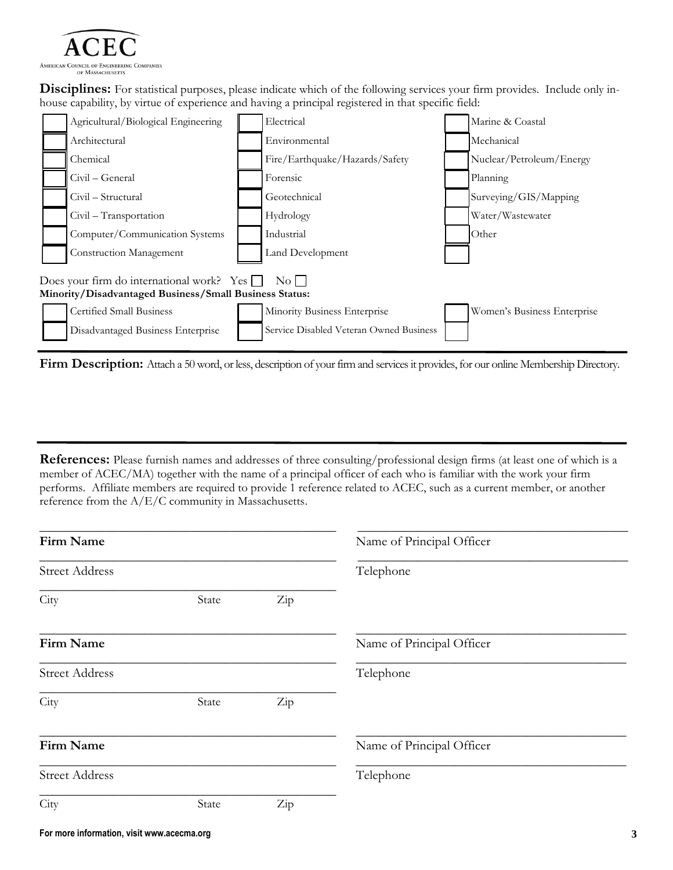

**Disciplines:** For statistical purposes, please indicate which of the following services your firm provides. Include only inhouse capability, by virtue of experience and having a principal registered in that specific field:



**Firm Description:** Attach a 50 word, or less, description of your firm and services it provides, for our online Membership Directory.

**References:** Please furnish names and addresses of three consulting/professional design firms (at least one of which is a member of ACEC/MA) together with the name of a principal officer of each who is familiar with the work your firm performs. Affiliate members are required to provide 1 reference related to ACEC, such as a current member, or another reference from the A/E/C community in Massachusetts.

| Firm Name             |       |     | Name of Principal Officer |
|-----------------------|-------|-----|---------------------------|
| <b>Street Address</b> |       |     | Telephone                 |
| City                  | State | Zip |                           |
| Firm Name             |       |     | Name of Principal Officer |
| <b>Street Address</b> |       |     | Telephone                 |
| City                  | State | Zip |                           |
| Firm Name             |       |     | Name of Principal Officer |
| <b>Street Address</b> |       |     | Telephone                 |
| City                  | State | Zip |                           |
|                       |       |     |                           |